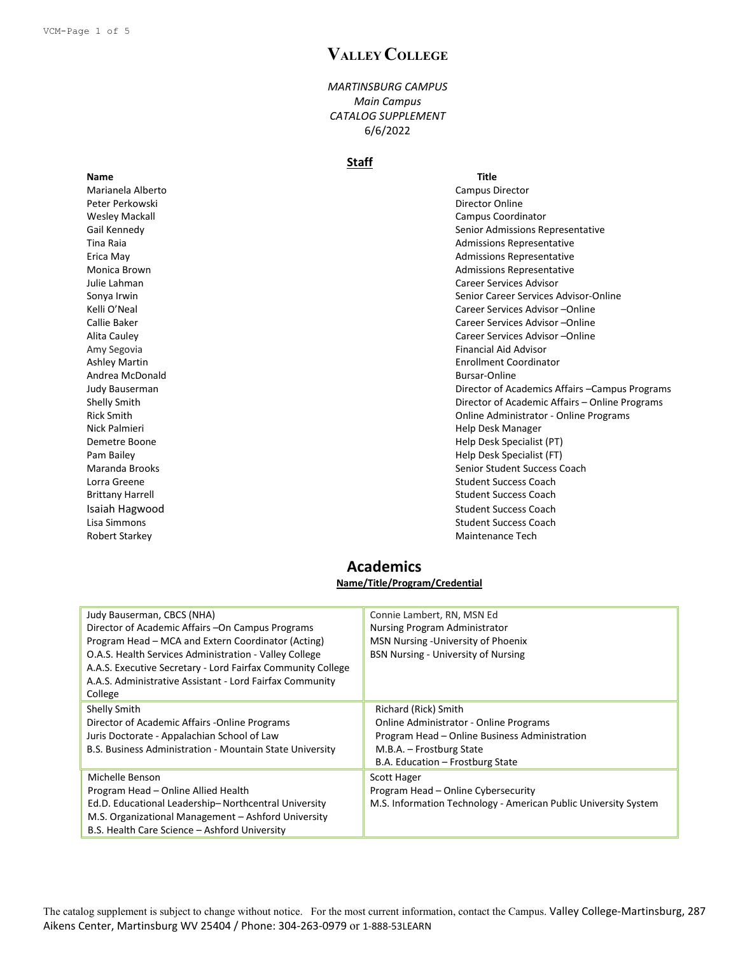# **VALLEY COLLEGE**

*MARTINSBURG CAMPUS Main Campus CATALOG SUPPLEMENT* 6/6/2022

#### **Staff**

**Name Title** Marianela Alberto Campus Director Peter Perkowski **Director Online** Andrea McDonald **Bursar-Online** Nick Palmieri Help Desk Manager

Wesley Mackall Campus Coordinator Gail Kennedy **Senior Admissions Representative** Senior Admissions Representative Tina Raia Admissions Representative Erica May **Admissions Representative Example 2018** 2019 12:30 Admissions Representative Monica Brown **Admissions Representative Admissions Representative Admissions Representative** Julie Lahman Career Services Advisor Sonya Irwin Senior Career Services Advisor-Online Senior Career Services Advisor-Online Kelli O'Neal Career Services Advisor –Online Career Services Advisor –Online Callie Baker Career Services Advisor –Online Alita Cauley Career Services Advisor –Online Amy Segovia **Financial Aid Advisor Financial Aid Advisor** Ashley Martin Enrollment Coordinator Judy Bauserman Director of Academics Affairs –Campus Programs Shelly Smith Director of Academic Affairs – Online Programs Rick Smith Online Administrator - Online Programs Demetre Boone Help Desk Specialist (PT) Pam Bailey Help Desk Specialist (FT) Maranda Brooks Senior Student Success Coach Lorra Greene Student Success Coach Brittany Harrell **Student Success Coach** Student Success Coach **Isaiah Hagwood** Student Success Coach **Student Success Coach** Student Success Coach Lisa Simmons **Student Success Coach Student Success Coach Student Success Coach** Robert Starkey **Maintenance Tech** Maintenance Tech Maintenance Tech Maintenance Tech

### **Academics Name/Title/Program/Credential**

| Judy Bauserman, CBCS (NHA)                                  | Connie Lambert, RN, MSN Ed                                      |
|-------------------------------------------------------------|-----------------------------------------------------------------|
| Director of Academic Affairs - On Campus Programs           | Nursing Program Administrator                                   |
| Program Head - MCA and Extern Coordinator (Acting)          | MSN Nursing - University of Phoenix                             |
| O.A.S. Health Services Administration - Valley College      | <b>BSN Nursing - University of Nursing</b>                      |
| A.A.S. Executive Secretary - Lord Fairfax Community College |                                                                 |
| A.A.S. Administrative Assistant - Lord Fairfax Community    |                                                                 |
| College                                                     |                                                                 |
| Shelly Smith                                                | Richard (Rick) Smith                                            |
| Director of Academic Affairs - Online Programs              | <b>Online Administrator - Online Programs</b>                   |
| Juris Doctorate - Appalachian School of Law                 | Program Head - Online Business Administration                   |
| B.S. Business Administration - Mountain State University    | M.B.A. - Frostburg State                                        |
|                                                             | B.A. Education - Frostburg State                                |
| Michelle Benson                                             | Scott Hager                                                     |
| Program Head - Online Allied Health                         | Program Head - Online Cybersecurity                             |
| Ed.D. Educational Leadership-Northcentral University        | M.S. Information Technology - American Public University System |
| M.S. Organizational Management - Ashford University         |                                                                 |
| B.S. Health Care Science - Ashford University               |                                                                 |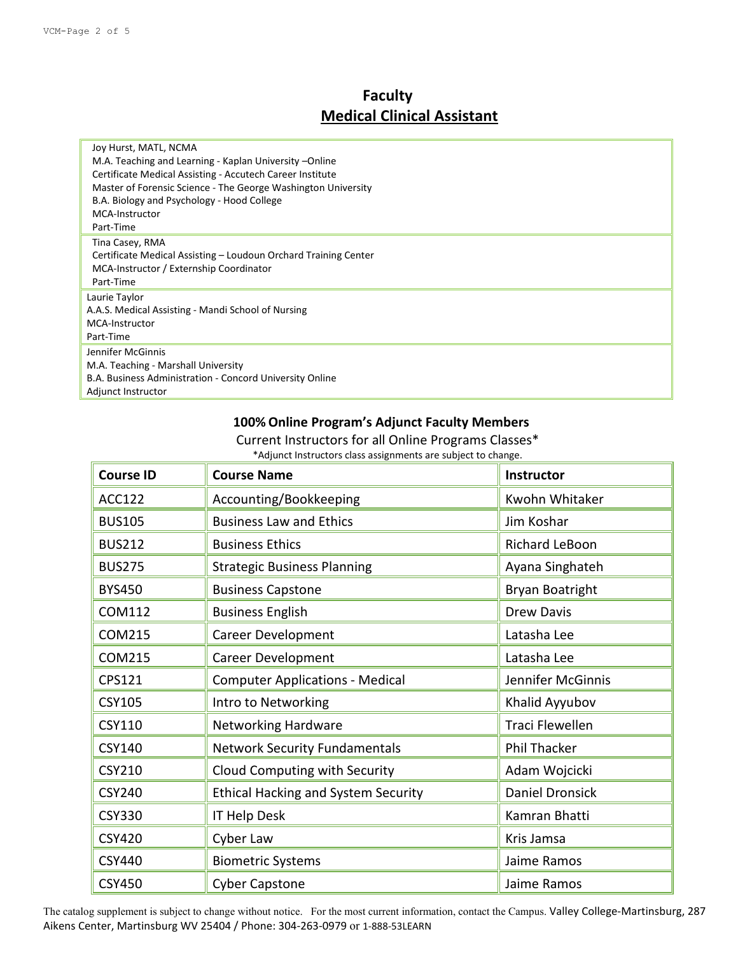# **Faculty Medical Clinical Assistant**

| Joy Hurst, MATL, NCMA                                           |
|-----------------------------------------------------------------|
| M.A. Teaching and Learning - Kaplan University --Online         |
| Certificate Medical Assisting - Accutech Career Institute       |
| Master of Forensic Science - The George Washington University   |
| B.A. Biology and Psychology - Hood College                      |
| MCA-Instructor                                                  |
| Part-Time                                                       |
| Tina Casey, RMA                                                 |
| Certificate Medical Assisting – Loudoun Orchard Training Center |
| MCA-Instructor / Externship Coordinator                         |
| Part-Time                                                       |
| Laurie Taylor                                                   |
| A.A.S. Medical Assisting - Mandi School of Nursing              |
| MCA-Instructor                                                  |
| Part-Time                                                       |
| Jennifer McGinnis                                               |
| M.A. Teaching - Marshall University                             |
| B.A. Business Administration - Concord University Online        |
| Adjunct Instructor                                              |

## **100% Online Program's Adjunct Faculty Members**

Current Instructors for all Online Programs Classes\* \*Adjunct Instructors class assignments are subject to change.

| <b>Course ID</b> | <b>Course Name</b>                         | Instructor             |
|------------------|--------------------------------------------|------------------------|
| <b>ACC122</b>    | Accounting/Bookkeeping                     | Kwohn Whitaker         |
| <b>BUS105</b>    | <b>Business Law and Ethics</b>             | Jim Koshar             |
| <b>BUS212</b>    | <b>Business Ethics</b>                     | Richard LeBoon         |
| <b>BUS275</b>    | <b>Strategic Business Planning</b>         | Ayana Singhateh        |
| <b>BYS450</b>    | <b>Business Capstone</b>                   | Bryan Boatright        |
| COM112           | <b>Business English</b>                    | Drew Davis             |
| <b>COM215</b>    | <b>Career Development</b>                  | Latasha Lee            |
| <b>COM215</b>    | Career Development                         | Latasha Lee            |
| CPS121           | <b>Computer Applications - Medical</b>     | Jennifer McGinnis      |
| <b>CSY105</b>    | Intro to Networking                        | Khalid Ayyubov         |
| CSY110           | <b>Networking Hardware</b>                 | Traci Flewellen        |
| <b>CSY140</b>    | <b>Network Security Fundamentals</b>       | <b>Phil Thacker</b>    |
| CSY210           | Cloud Computing with Security              | Adam Wojcicki          |
| <b>CSY240</b>    | <b>Ethical Hacking and System Security</b> | <b>Daniel Dronsick</b> |
| <b>CSY330</b>    | IT Help Desk                               | Kamran Bhatti          |
| <b>CSY420</b>    | Cyber Law                                  | Kris Jamsa             |
| CSY440           | <b>Biometric Systems</b>                   | Jaime Ramos            |
| <b>CSY450</b>    | <b>Cyber Capstone</b>                      | Jaime Ramos            |

The catalog supplement is subject to change without notice. For the most current information, contact the Campus. Valley College-Martinsburg, 287 Aikens Center, Martinsburg WV 25404 / Phone: 304-263-0979 or 1-888-53LEARN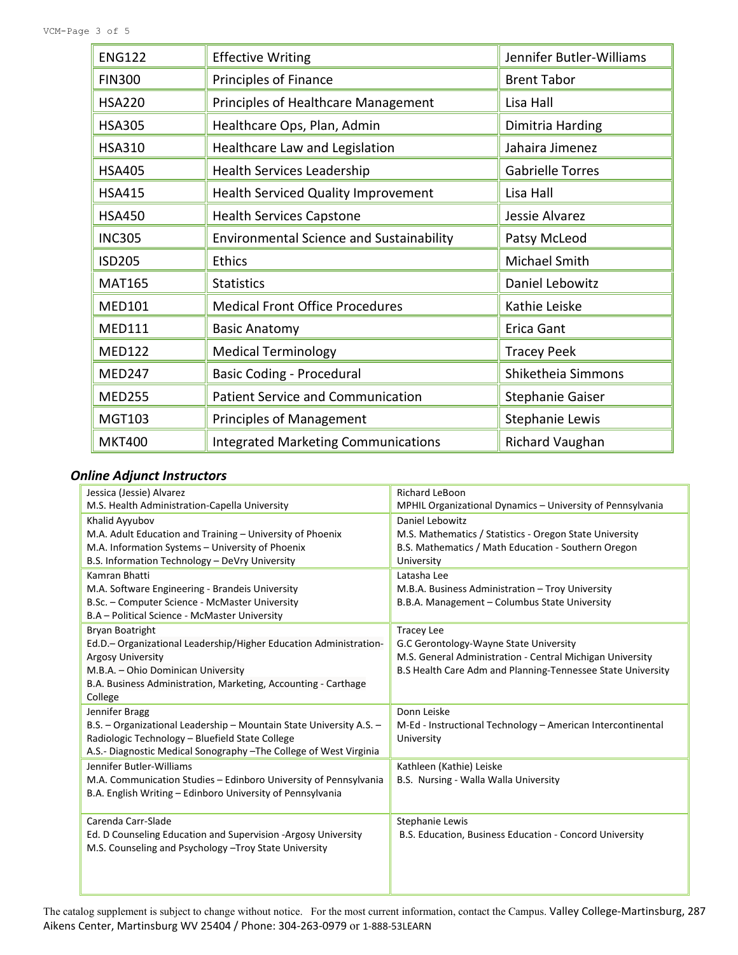| <b>ENG122</b> | <b>Effective Writing</b>                        | Jennifer Butler-Williams |
|---------------|-------------------------------------------------|--------------------------|
| <b>FIN300</b> | Principles of Finance                           | <b>Brent Tabor</b>       |
| <b>HSA220</b> | Principles of Healthcare Management             | Lisa Hall                |
| <b>HSA305</b> | Healthcare Ops, Plan, Admin                     | Dimitria Harding         |
| <b>HSA310</b> | Healthcare Law and Legislation                  | Jahaira Jimenez          |
| <b>HSA405</b> | Health Services Leadership                      | <b>Gabrielle Torres</b>  |
| <b>HSA415</b> | Health Serviced Quality Improvement             | Lisa Hall                |
| <b>HSA450</b> | <b>Health Services Capstone</b>                 | Jessie Alvarez           |
| <b>INC305</b> | <b>Environmental Science and Sustainability</b> | Patsy McLeod             |
| <b>ISD205</b> | <b>Ethics</b>                                   | Michael Smith            |
| <b>MAT165</b> | <b>Statistics</b>                               | Daniel Lebowitz          |
| <b>MED101</b> | <b>Medical Front Office Procedures</b>          | Kathie Leiske            |
| <b>MED111</b> | <b>Basic Anatomy</b>                            | Erica Gant               |
| <b>MED122</b> | <b>Medical Terminology</b>                      | <b>Tracey Peek</b>       |
| <b>MED247</b> | <b>Basic Coding - Procedural</b>                | Shiketheia Simmons       |
| <b>MED255</b> | <b>Patient Service and Communication</b>        | Stephanie Gaiser         |
| MGT103        | <b>Principles of Management</b>                 | Stephanie Lewis          |
| <b>MKT400</b> | <b>Integrated Marketing Communications</b>      | <b>Richard Vaughan</b>   |

### *Online Adjunct Instructors*

| Jessica (Jessie) Alvarez                                            | <b>Richard LeBoon</b>                                       |
|---------------------------------------------------------------------|-------------------------------------------------------------|
| M.S. Health Administration-Capella University                       | MPHIL Organizational Dynamics - University of Pennsylvania  |
| Khalid Ayyubov                                                      | Daniel Lebowitz                                             |
| M.A. Adult Education and Training - University of Phoenix           | M.S. Mathematics / Statistics - Oregon State University     |
| M.A. Information Systems - University of Phoenix                    | B.S. Mathematics / Math Education - Southern Oregon         |
| B.S. Information Technology - DeVry University                      | University                                                  |
| Kamran Bhatti                                                       | Latasha Lee                                                 |
| M.A. Software Engineering - Brandeis University                     | M.B.A. Business Administration - Troy University            |
| B.Sc. - Computer Science - McMaster University                      | B.B.A. Management - Columbus State University               |
| B.A - Political Science - McMaster University                       |                                                             |
| <b>Bryan Boatright</b>                                              | <b>Tracey Lee</b>                                           |
| Ed.D. – Organizational Leadership/Higher Education Administration-  | G.C Gerontology-Wayne State University                      |
| <b>Argosy University</b>                                            | M.S. General Administration - Central Michigan University   |
| M.B.A. - Ohio Dominican University                                  | B.S Health Care Adm and Planning-Tennessee State University |
| B.A. Business Administration, Marketing, Accounting - Carthage      |                                                             |
| College                                                             |                                                             |
| Jennifer Bragg                                                      | Donn Leiske                                                 |
| B.S. - Organizational Leadership - Mountain State University A.S. - | M-Ed - Instructional Technology - American Intercontinental |
| Radiologic Technology - Bluefield State College                     | University                                                  |
| A.S.- Diagnostic Medical Sonography - The College of West Virginia  |                                                             |
| Jennifer Butler-Williams                                            | Kathleen (Kathie) Leiske                                    |
| M.A. Communication Studies - Edinboro University of Pennsylvania    | B.S. Nursing - Walla Walla University                       |
| B.A. English Writing - Edinboro University of Pennsylvania          |                                                             |
|                                                                     |                                                             |
| Carenda Carr-Slade                                                  | Stephanie Lewis                                             |
| Ed. D Counseling Education and Supervision -Argosy University       | B.S. Education, Business Education - Concord University     |
| M.S. Counseling and Psychology - Troy State University              |                                                             |
|                                                                     |                                                             |
|                                                                     |                                                             |
|                                                                     |                                                             |

The catalog supplement is subject to change without notice. For the most current information, contact the Campus. Valley College-Martinsburg, 287 Aikens Center, Martinsburg WV 25404 / Phone: 304-263-0979 or 1-888-53LEARN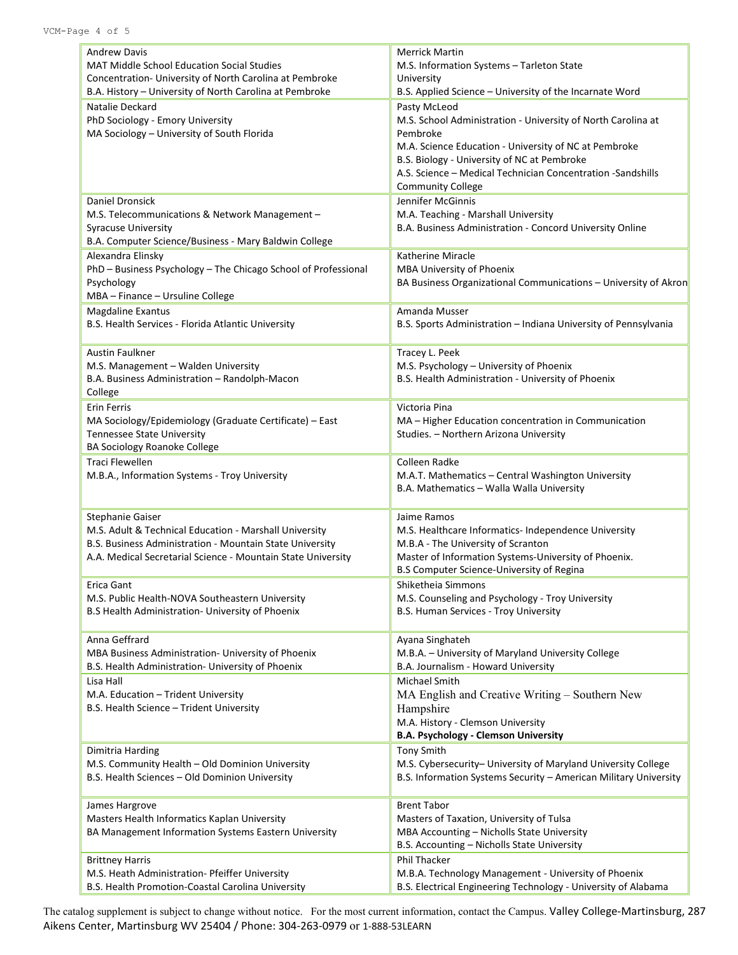| <b>Andrew Davis</b>                                            | <b>Merrick Martin</b>                                            |
|----------------------------------------------------------------|------------------------------------------------------------------|
| <b>MAT Middle School Education Social Studies</b>              | M.S. Information Systems - Tarleton State                        |
| Concentration- University of North Carolina at Pembroke        | University                                                       |
| B.A. History - University of North Carolina at Pembroke        | B.S. Applied Science - University of the Incarnate Word          |
| Natalie Deckard                                                | Pasty McLeod                                                     |
| PhD Sociology - Emory University                               | M.S. School Administration - University of North Carolina at     |
| MA Sociology - University of South Florida                     | Pembroke                                                         |
|                                                                | M.A. Science Education - University of NC at Pembroke            |
|                                                                | B.S. Biology - University of NC at Pembroke                      |
|                                                                | A.S. Science - Medical Technician Concentration - Sandshills     |
|                                                                | <b>Community College</b>                                         |
| Daniel Dronsick                                                | Jennifer McGinnis                                                |
| M.S. Telecommunications & Network Management -                 | M.A. Teaching - Marshall University                              |
| <b>Syracuse University</b>                                     | B.A. Business Administration - Concord University Online         |
| B.A. Computer Science/Business - Mary Baldwin College          |                                                                  |
| Alexandra Elinsky                                              | Katherine Miracle                                                |
| PhD - Business Psychology - The Chicago School of Professional | MBA University of Phoenix                                        |
| Psychology                                                     | BA Business Organizational Communications – University of Akron  |
| MBA - Finance - Ursuline College                               |                                                                  |
| <b>Magdaline Exantus</b>                                       | Amanda Musser                                                    |
| B.S. Health Services - Florida Atlantic University             | B.S. Sports Administration - Indiana University of Pennsylvania  |
|                                                                |                                                                  |
| <b>Austin Faulkner</b>                                         | Tracey L. Peek                                                   |
| M.S. Management - Walden University                            | M.S. Psychology - University of Phoenix                          |
| B.A. Business Administration - Randolph-Macon                  | B.S. Health Administration - University of Phoenix               |
| College                                                        |                                                                  |
| Erin Ferris                                                    | Victoria Pina                                                    |
| MA Sociology/Epidemiology (Graduate Certificate) - East        | MA - Higher Education concentration in Communication             |
| <b>Tennessee State University</b>                              | Studies. - Northern Arizona University                           |
| BA Sociology Roanoke College                                   |                                                                  |
| Traci Flewellen                                                | Colleen Radke                                                    |
| M.B.A., Information Systems - Troy University                  | M.A.T. Mathematics - Central Washington University               |
|                                                                | B.A. Mathematics - Walla Walla University                        |
|                                                                |                                                                  |
| Stephanie Gaiser                                               | Jaime Ramos                                                      |
| M.S. Adult & Technical Education - Marshall University         | M.S. Healthcare Informatics- Independence University             |
| B.S. Business Administration - Mountain State University       | M.B.A - The University of Scranton                               |
| A.A. Medical Secretarial Science - Mountain State University   | Master of Information Systems-University of Phoenix.             |
|                                                                | B.S Computer Science-University of Regina                        |
| Erica Gant                                                     | Shiketheia Simmons                                               |
| M.S. Public Health-NOVA Southeastern University                | M.S. Counseling and Psychology - Troy University                 |
| B.S Health Administration- University of Phoenix               | B.S. Human Services - Troy University                            |
|                                                                |                                                                  |
| Anna Geffrard                                                  | Ayana Singhateh                                                  |
| MBA Business Administration- University of Phoenix             | M.B.A. - University of Maryland University College               |
| B.S. Health Administration- University of Phoenix              | B.A. Journalism - Howard University                              |
| Lisa Hall                                                      | Michael Smith                                                    |
| M.A. Education - Trident University                            | MA English and Creative Writing – Southern New                   |
| B.S. Health Science - Trident University                       | Hampshire                                                        |
|                                                                | M.A. History - Clemson University                                |
|                                                                | <b>B.A. Psychology - Clemson University</b>                      |
| Dimitria Harding                                               | <b>Tony Smith</b>                                                |
| M.S. Community Health - Old Dominion University                | M.S. Cybersecurity- University of Maryland University College    |
| B.S. Health Sciences - Old Dominion University                 | B.S. Information Systems Security - American Military University |
|                                                                |                                                                  |
| James Hargrove                                                 | <b>Brent Tabor</b>                                               |
| Masters Health Informatics Kaplan University                   | Masters of Taxation, University of Tulsa                         |
| BA Management Information Systems Eastern University           | MBA Accounting - Nicholls State University                       |
|                                                                | B.S. Accounting - Nicholls State University                      |
| <b>Brittney Harris</b>                                         | <b>Phil Thacker</b>                                              |
| M.S. Heath Administration- Pfeiffer University                 | M.B.A. Technology Management - University of Phoenix             |
| B.S. Health Promotion-Coastal Carolina University              | B.S. Electrical Engineering Technology - University of Alabama   |

The catalog supplement is subject to change without notice. For the most current information, contact the Campus. Valley College-Martinsburg, 287 Aikens Center, Martinsburg WV 25404 / Phone: 304-263-0979 or 1-888-53LEARN